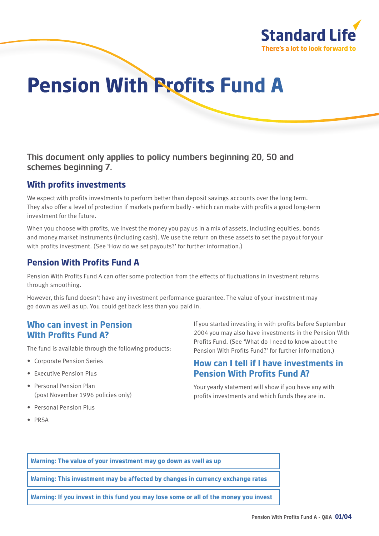

# **Pension With Profits Fund A**

This document only applies to policy numbers beginning 20, 50 and schemes beginning 7.

### **With profits investments**

We expect with profits investments to perform better than deposit savings accounts over the long term. They also offer a level of protection if markets perform badly - which can make with profits a good long-term investment for the future.

When you choose with profits, we invest the money you pay us in a mix of assets, including equities, bonds and money market instruments (including cash). We use the return on these assets to set the payout for your with profits investment. (See 'How do we set payouts?' for further information.)

# **Pension With Profits Fund A**

Pension With Profits Fund A can offer some protection from the effects of fluctuations in investment returns through smoothing.

However, this fund doesn't have any investment performance guarantee. The value of your investment may go down as well as up. You could get back less than you paid in.

# **Who can invest in Pension With Profits Fund A?**

The fund is available through the following products:

- Corporate Pension Series
- Executive Pension Plus
- Personal Pension Plan (post November 1996 policies only)
- Personal Pension Plus
- PRSA

If you started investing in with profits before September 2004 you may also have investments in the Pension With Profits Fund. (See 'What do I need to know about the Pension With Profits Fund?' for further information.)

## **How can I tell if I have investments in Pension With Profits Fund A?**

Your yearly statement will show if you have any with profits investments and which funds they are in.

**Warning: The value of your investment may go down as well as up**

**Warning: This investment may be affected by changes in currency exchange rates**

**Warning: If you invest in this fund you may lose some or all of the money you invest**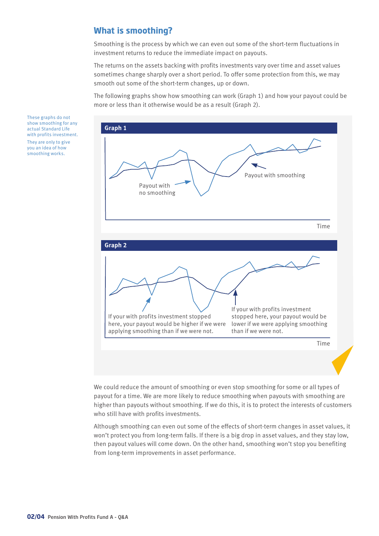# **What is smoothing?**

Smoothing is the process by which we can even out some of the short-term fluctuations in investment returns to reduce the immediate impact on payouts.

The returns on the assets backing with profits investments vary over time and asset values sometimes change sharply over a short period. To offer some protection from this, we may smooth out some of the short-term changes, up or down.

The following graphs show how smoothing can work (Graph 1) and how your payout could be more or less than it otherwise would be as a result (Graph 2).



We could reduce the amount of smoothing or even stop smoothing for some or all types of payout for a time. We are more likely to reduce smoothing when payouts with smoothing are higher than payouts without smoothing. If we do this, it is to protect the interests of customers who still have with profits investments.

Although smoothing can even out some of the effects of short-term changes in asset values, it won't protect you from long-term falls. If there is a big drop in asset values, and they stay low, then payout values will come down. On the other hand, smoothing won't stop you benefiting from long-term improvements in asset performance.

These graphs do not show smoothing for any actual Standard Life with profits investment. They are only to give you an idea of how smoothing works.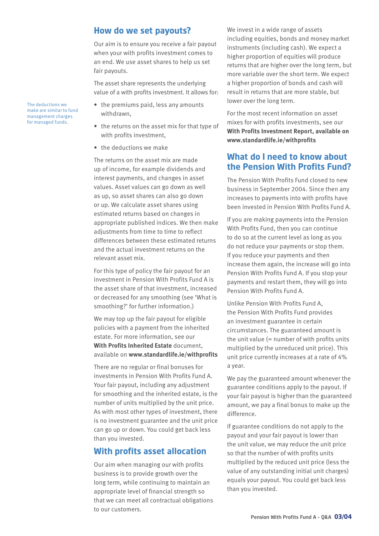#### **How do we set payouts?**

Our aim is to ensure you receive a fair payout when your with profits investment comes to an end. We use asset shares to help us set fair payouts.

The asset share represents the underlying value of a with profits investment. It allows for:

- the premiums paid, less any amounts withdrawn,
- the returns on the asset mix for that type of with profits investment,
- the deductions we make

The returns on the asset mix are made up of income, for example dividends and interest payments, and changes in asset values. Asset values can go down as well as up, so asset shares can also go down or up. We calculate asset shares using estimated returns based on changes in appropriate published indices. We then make adjustments from time to time to reflect differences between these estimated returns and the actual investment returns on the relevant asset mix.

For this type of policy the fair payout for an investment in Pension With Profits Fund A is the asset share of that investment, increased or decreased for any smoothing (see 'What is smoothing?' for further information.)

We may top up the fair payout for eligible policies with a payment from the inherited estate. For more information, see our **With Profits Inherited Estate** document, available on **www.standardlife.ie/withprofits**

There are no regular or final bonuses for investments in Pension With Profits Fund A. Your fair payout, including any adjustment for smoothing and the inherited estate, is the number of units multiplied by the unit price. As with most other types of investment, there is no investment guarantee and the unit price can go up or down. You could get back less than you invested.

#### **With profits asset allocation**

Our aim when managing our with profits business is to provide growth over the long term, while continuing to maintain an appropriate level of financial strength so that we can meet all contractual obligations to our customers.

We invest in a wide range of assets including equities, bonds and money market instruments (including cash). We expect a higher proportion of equities will produce returns that are higher over the long term, but more variable over the short term. We expect a higher proportion of bonds and cash will result in returns that are more stable, but lower over the long term.

For the most recent information on asset mixes for with profits investments, see our **With Profits Investment Report, available on www.standardlife.ie/withprofits**

### **What do I need to know about the Pension With Profits Fund?**

The Pension With Profits Fund closed to new business in September 2004. Since then any increases to payments into with profits have been invested in Pension With Profits Fund A.

If you are making payments into the Pension With Profits Fund, then you can continue to do so at the current level as long as you do not reduce your payments or stop them. If you reduce your payments and then increase them again, the increase will go into Pension With Profits Fund A. If you stop your payments and restart them, they will go into Pension With Profits Fund A.

Unlike Pension With Profits Fund A, the Pension With Profits Fund provides an investment guarantee in certain circumstances. The guaranteed amount is the unit value  $(=$  number of with profits units multiplied by the unreduced unit price). This unit price currently increases at a rate of 4% a year.

We pay the guaranteed amount whenever the guarantee conditions apply to the payout. If your fair payout is higher than the guaranteed amount, we pay a final bonus to make up the difference.

If guarantee conditions do not apply to the payout and your fair payout is lower than the unit value, we may reduce the unit price so that the number of with profits units multiplied by the reduced unit price (less the value of any outstanding initial unit charges) equals your payout. You could get back less than you invested.

The deductions we make are similar to fund management charges for managed funds.